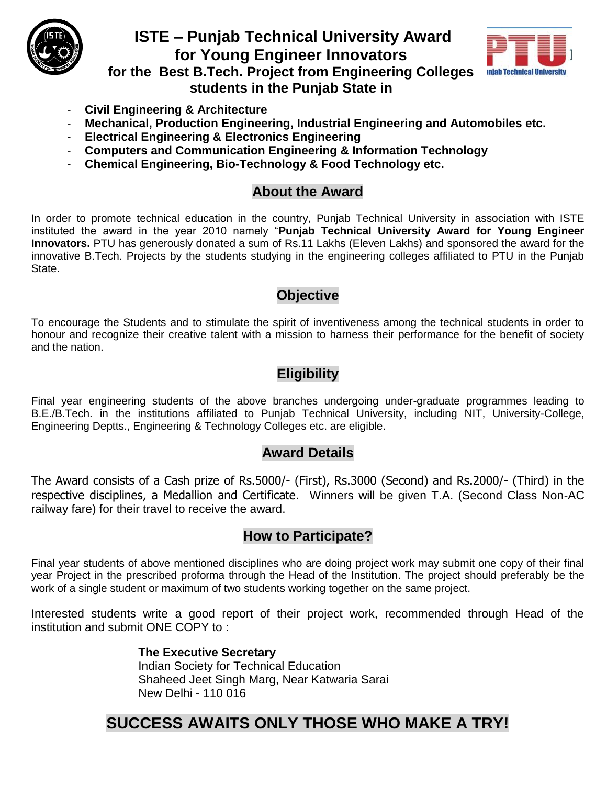

## **ISTE – Punjab Technical University Award for Young Engineer Innovators for the Best B.Tech. Project from Engineering Colleges students in the Punjab State in**



- **Civil Engineering & Architecture**
- **Mechanical, Production Engineering, Industrial Engineering and Automobiles etc.**
- **Electrical Engineering & Electronics Engineering**
- **Computers and Communication Engineering & Information Technology**
- **Chemical Engineering, Bio-Technology & Food Technology etc.**

### **About the Award**

In order to promote technical education in the country, Punjab Technical University in association with ISTE instituted the award in the year 2010 namely "**Punjab Technical University Award for Young Engineer Innovators.** PTU has generously donated a sum of Rs.11 Lakhs (Eleven Lakhs) and sponsored the award for the innovative B.Tech. Projects by the students studying in the engineering colleges affiliated to PTU in the Punjab State.

### **Objective**

To encourage the Students and to stimulate the spirit of inventiveness among the technical students in order to honour and recognize their creative talent with a mission to harness their performance for the benefit of society and the nation.

### **Eligibility**

Final year engineering students of the above branches undergoing under-graduate programmes leading to B.E./B.Tech. in the institutions affiliated to Punjab Technical University, including NIT, University-College, Engineering Deptts., Engineering & Technology Colleges etc. are eligible.

#### **Award Details**

The Award consists of a Cash prize of Rs.5000/- (First), Rs.3000 (Second) and Rs.2000/- (Third) in the respective disciplines, a Medallion and Certificate. Winners will be given T.A. (Second Class Non-AC railway fare) for their travel to receive the award.

### **How to Participate?**

Final year students of above mentioned disciplines who are doing project work may submit one copy of their final year Project in the prescribed proforma through the Head of the Institution. The project should preferably be the work of a single student or maximum of two students working together on the same project.

Interested students write a good report of their project work, recommended through Head of the institution and submit ONE COPY to :

#### **The Executive Secretary** Indian Society for Technical Education Shaheed Jeet Singh Marg, Near Katwaria Sarai New Delhi - 110 016

# **SUCCESS AWAITS ONLY THOSE WHO MAKE A TRY!**